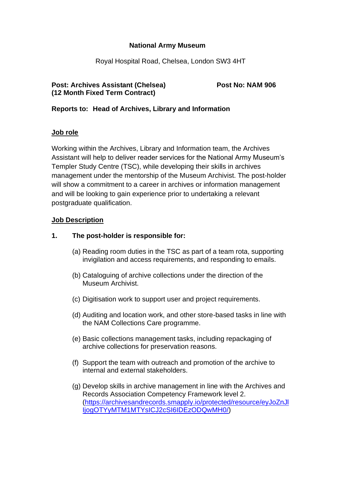## **National Army Museum**

Royal Hospital Road, Chelsea, London SW3 4HT

#### **Post: Archives Assistant (Chelsea) Post No: NAM 906 (12 Month Fixed Term Contract)**

# **Reports to: Head of Archives, Library and Information**

## **Job role**

Working within the Archives, Library and Information team, the Archives Assistant will help to deliver reader services for the National Army Museum's Templer Study Centre (TSC), while developing their skills in archives management under the mentorship of the Museum Archivist. The post-holder will show a commitment to a career in archives or information management and will be looking to gain experience prior to undertaking a relevant postgraduate qualification.

## **Job Description**

## **1. The post-holder is responsible for:**

- (a) Reading room duties in the TSC as part of a team rota, supporting invigilation and access requirements, and responding to emails.
- (b) Cataloguing of archive collections under the direction of the Museum Archivist.
- (c) Digitisation work to support user and project requirements.
- (d) Auditing and location work, and other store-based tasks in line with the NAM Collections Care programme.
- (e) Basic collections management tasks, including repackaging of archive collections for preservation reasons.
- (f) Support the team with outreach and promotion of the archive to internal and external stakeholders.
- (g) Develop skills in archive management in line with the Archives and Records Association Competency Framework level 2. [\(https://archivesandrecords.smapply.io/protected/resource/eyJoZnJl](https://archivesandrecords.smapply.io/protected/resource/eyJoZnJlIjogOTYyMTM1MTYsICJ2cSI6IDEzODQwMH0/) [IjogOTYyMTM1MTYsICJ2cSI6IDEzODQwMH0/\)](https://archivesandrecords.smapply.io/protected/resource/eyJoZnJlIjogOTYyMTM1MTYsICJ2cSI6IDEzODQwMH0/)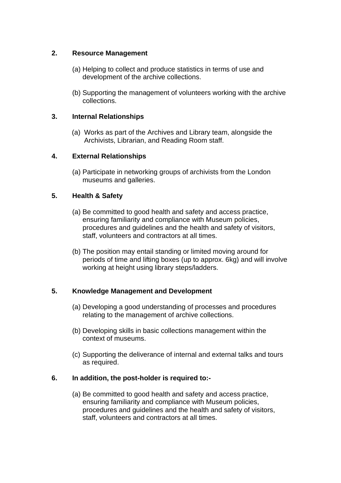# **2. Resource Management**

- (a) Helping to collect and produce statistics in terms of use and development of the archive collections.
- (b) Supporting the management of volunteers working with the archive collections.

## **3. Internal Relationships**

(a) Works as part of the Archives and Library team, alongside the Archivists, Librarian, and Reading Room staff.

## **4. External Relationships**

(a) Participate in networking groups of archivists from the London museums and galleries.

## **5. Health & Safety**

- (a) Be committed to good health and safety and access practice, ensuring familiarity and compliance with Museum policies, procedures and guidelines and the health and safety of visitors, staff, volunteers and contractors at all times.
- (b) The position may entail standing or limited moving around for periods of time and lifting boxes (up to approx. 6kg) and will involve working at height using library steps/ladders.

# **5. Knowledge Management and Development**

- (a) Developing a good understanding of processes and procedures relating to the management of archive collections.
- (b) Developing skills in basic collections management within the context of museums.
- (c) Supporting the deliverance of internal and external talks and tours as required.

#### **6. In addition, the post-holder is required to:-**

(a) Be committed to good health and safety and access practice, ensuring familiarity and compliance with Museum policies, procedures and guidelines and the health and safety of visitors, staff, volunteers and contractors at all times.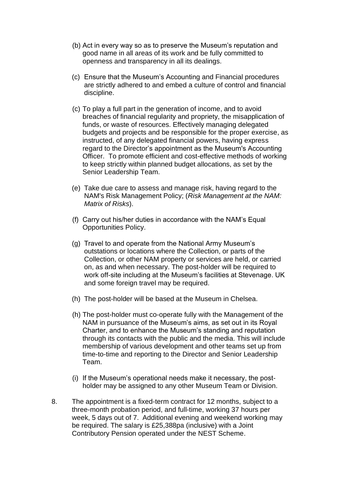- (b) Act in every way so as to preserve the Museum's reputation and good name in all areas of its work and be fully committed to openness and transparency in all its dealings.
- (c) Ensure that the Museum's Accounting and Financial procedures are strictly adhered to and embed a culture of control and financial discipline.
- (c) To play a full part in the generation of income, and to avoid breaches of financial regularity and propriety, the misapplication of funds, or waste of resources. Effectively managing delegated budgets and projects and be responsible for the proper exercise, as instructed, of any delegated financial powers, having express regard to the Director's appointment as the Museum's Accounting Officer. To promote efficient and cost-effective methods of working to keep strictly within planned budget allocations, as set by the Senior Leadership Team.
- (e) Take due care to assess and manage risk, having regard to the NAM's Risk Management Policy; (*Risk Management at the NAM: Matrix of Risks*).
- (f) Carry out his/her duties in accordance with the NAM's Equal Opportunities Policy.
- (g) Travel to and operate from the National Army Museum's outstations or locations where the Collection, or parts of the Collection, or other NAM property or services are held, or carried on, as and when necessary. The post-holder will be required to work off-site including at the Museum's facilities at Stevenage. UK and some foreign travel may be required.
- (h) The post-holder will be based at the Museum in Chelsea.
- (h) The post-holder must co-operate fully with the Management of the NAM in pursuance of the Museum's aims, as set out in its Royal Charter, and to enhance the Museum's standing and reputation through its contacts with the public and the media. This will include membership of various development and other teams set up from time-to-time and reporting to the Director and Senior Leadership Team.
- (i) If the Museum's operational needs make it necessary, the postholder may be assigned to any other Museum Team or Division.
- 8. The appointment is a fixed-term contract for 12 months, subject to a three-month probation period, and full-time, working 37 hours per week, 5 days out of 7. Additional evening and weekend working may be required. The salary is £25,388pa (inclusive) with a Joint Contributory Pension operated under the NEST Scheme.